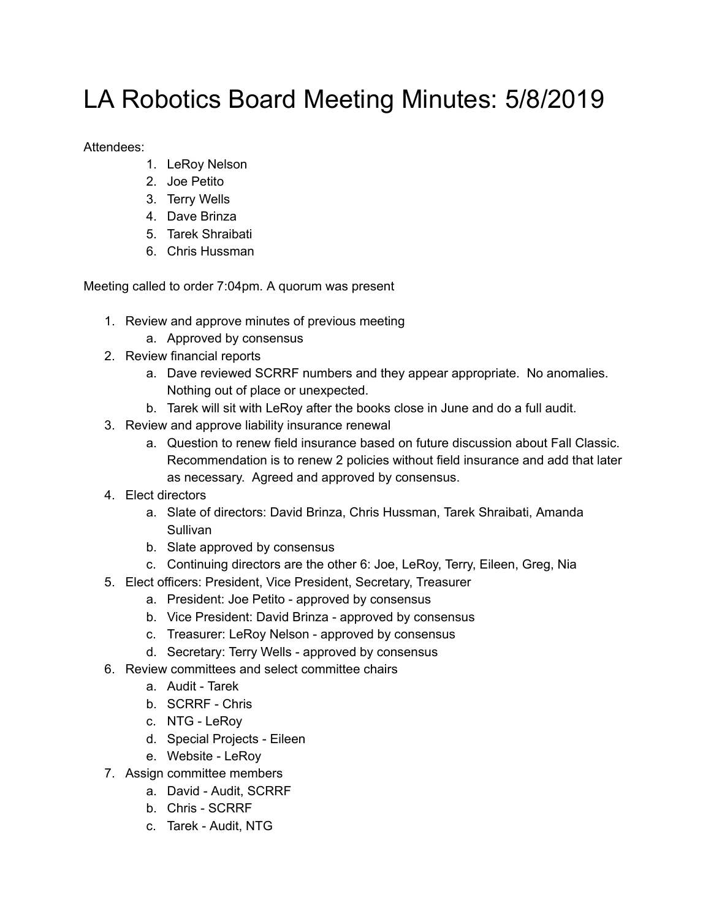## LA Robotics Board Meeting Minutes: 5/8/2019

Attendees:

- 1. LeRoy Nelson
- 2. Joe Petito
- 3. Terry Wells
- 4. Dave Brinza
- 5. Tarek Shraibati
- 6. Chris Hussman

Meeting called to order 7:04pm. A quorum was present

- 1. Review and approve minutes of previous meeting
	- a. Approved by consensus
- 2. Review financial reports
	- a. Dave reviewed SCRRF numbers and they appear appropriate. No anomalies. Nothing out of place or unexpected.
	- b. Tarek will sit with LeRoy after the books close in June and do a full audit.
- 3. Review and approve liability insurance renewal
	- a. Question to renew field insurance based on future discussion about Fall Classic. Recommendation is to renew 2 policies without field insurance and add that later as necessary. Agreed and approved by consensus.
- 4. Elect directors
	- a. Slate of directors: David Brinza, Chris Hussman, Tarek Shraibati, Amanda Sullivan
	- b. Slate approved by consensus
	- c. Continuing directors are the other 6: Joe, LeRoy, Terry, Eileen, Greg, Nia
- 5. Elect officers: President, Vice President, Secretary, Treasurer
	- a. President: Joe Petito approved by consensus
	- b. Vice President: David Brinza approved by consensus
	- c. Treasurer: LeRoy Nelson approved by consensus
	- d. Secretary: Terry Wells approved by consensus
- 6. Review committees and select committee chairs
	- a. Audit Tarek
	- b. SCRRF Chris
	- c. NTG LeRoy
	- d. Special Projects Eileen
	- e. Website LeRoy
- 7. Assign committee members
	- a. David Audit, SCRRF
	- b. Chris SCRRF
	- c. Tarek Audit, NTG